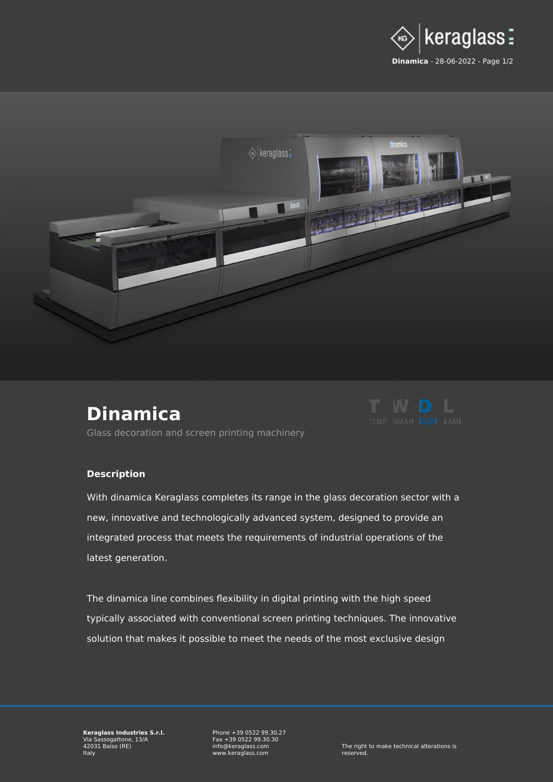



## **[Dinamica](https://www.keraglass.com/en/product/decoration/dinamica)**



[Glass decoration and screen printing machinery](https://www.keraglass.com/en/category/decoration)

## **Description**

With dinamica Keraglass completes its range in the glass decoration sector with a new, innovative and technologically advanced system, designed to provide an integrated process that meets the requirements of industrial operations of the latest generation.

The dinamica line combines flexibility in digital printing with the high speed typically associated with conventional screen printing techniques. The innovative solution that makes it possible to meet the needs of the most exclusive design

Phone +39 0522 99.30.27 Fax +39 0522 99.30.30 info@keraglass.com www.keraglass.com